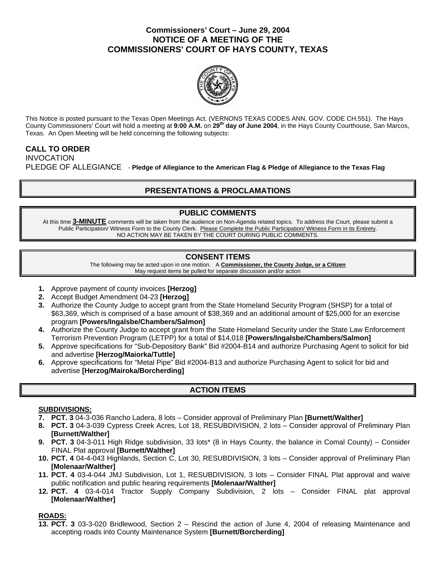### **Commissioners' Court – June 29, 2004 NOTICE OF A MEETING OF THE COMMISSIONERS' COURT OF HAYS COUNTY, TEXAS**



This Notice is posted pursuant to the Texas Open Meetings Act. (VERNONS TEXAS CODES ANN. GOV. CODE CH.551). The Hays County Commissioners' Court will hold a meeting at **9:00 A.M.** on **29th day of June 2004**, in the Hays County Courthouse, San Marcos, Texas. An Open Meeting will be held concerning the following subjects:

#### **CALL TO ORDER**  INVOCATION

PLEDGE OF ALLEGIANCE - **Pledge of Allegiance to the American Flag & Pledge of Allegiance to the Texas Flag** 

# **PRESENTATIONS & PROCLAMATIONS**

# **PUBLIC COMMENTS**

At this time **3-MINUTE** comments will be taken from the audience on Non-Agenda related topics. To address the Court, please submit a Public Participation/ Witness Form to the County Clerk. Please Complete the Public Participation/ Witness Form in its Entirety. NO ACTION MAY BE TAKEN BY THE COURT DURING PUBLIC COMMENTS.

# **CONSENT ITEMS**

The following may be acted upon in one motion. A **Commissioner, the County Judge, or a Citizen** May request items be pulled for separate discussion and/or action

- **1.** Approve payment of county invoices **[Herzog]**
- **2.** Accept Budget Amendment 04-23 **[Herzog]**
- **3.** Authorize the County Judge to accept grant from the State Homeland Security Program (SHSP) for a total of \$63,369, which is comprised of a base amount of \$38,369 and an additional amount of \$25,000 for an exercise program **[Powers/Ingalsbe/Chambers/Salmon]**
- **4.** Authorize the County Judge to accept grant from the State Homeland Security under the State Law Enforcement Terrorism Prevention Program (LETPP) for a total of \$14,018 **[Powers/Ingalsbe/Chambers/Salmon]**
- **5.** Approve specifications for "Sub-Depository Bank" Bid #2004-B14 and authorize Purchasing Agent to solicit for bid and advertise **[Herzog/Maiorka/Tuttle]**
- **6.** Approve specifications for "Metal Pipe" Bid #2004-B13 and authorize Purchasing Agent to solicit for bid and advertise **[Herzog/Mairoka/Borcherding]**

# **ACTION ITEMS**

### **SUBDIVISIONS:**

- **7. PCT. 3** 04-3-036 Rancho Ladera, 8 lots Consider approval of Preliminary Plan **[Burnett/Walther]**
- **8. PCT. 3** 04-3-039 Cypress Creek Acres, Lot 18, RESUBDIVISION, 2 lots Consider approval of Preliminary Plan **[Burnett/Walther]**
- **9. PCT. 3** 04-3-011 High Ridge subdivision, 33 lots\* (8 in Hays County, the balance in Comal County) Consider FINAL Plat approval **[Burnett/Walther]**
- **10. PCT. 4** 04-4-043 Highlands, Section C, Lot 30, RESUBDIVISION, 3 lots Consider approval of Preliminary Plan **[Molenaar/Walther]**
- **11. PCT. 4** 03-4-044 JMJ Subdivision, Lot 1, RESUBDIVISION, 3 lots Consider FINAL Plat approval and waive public notification and public hearing requirements **[Molenaar/Walther]**
- **12. PCT. 4** 03-4-014 Tractor Supply Company Subdivision, 2 lots Consider FINAL plat approval **[Molenaar/Walther]**

### **ROADS:**

**13. PCT. 3** 03-3-020 Bridlewood, Section 2 – Rescind the action of June 4, 2004 of releasing Maintenance and accepting roads into County Maintenance System **[Burnett/Borcherding]**